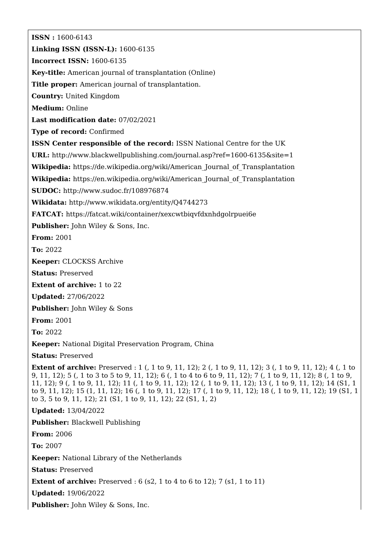**ISSN :** 1600-6143 **Linking ISSN (ISSN-L):** 1600-6135 **Incorrect ISSN:** 1600-6135 **Key-title:** American journal of transplantation (Online) **Title proper:** American journal of transplantation. **Country:** United Kingdom **Medium:** Online **Last modification date:** 07/02/2021 **Type of record:** Confirmed **ISSN Center responsible of the record:** ISSN National Centre for the UK **URL:** <http://www.blackwellpublishing.com/journal.asp?ref=1600-6135&site=1> **Wikipedia:** [https://de.wikipedia.org/wiki/American\\_Journal\\_of\\_Transplantation](https://de.wikipedia.org/wiki/American_Journal_of_Transplantation) **Wikipedia:** [https://en.wikipedia.org/wiki/American\\_Journal\\_of\\_Transplantation](https://en.wikipedia.org/wiki/American_Journal_of_Transplantation) **SUDOC:** <http://www.sudoc.fr/108976874> **Wikidata:** <http://www.wikidata.org/entity/Q4744273> **FATCAT:** <https://fatcat.wiki/container/xexcwtbiqvfdxnhdgolrpuei6e> **Publisher:** John Wiley & Sons, Inc. **From:** 2001 **To:** 2022 **Keeper:** CLOCKSS Archive **Status:** Preserved **Extent of archive:** 1 to 22 **Updated:** 27/06/2022 **Publisher:** John Wiley & Sons **From:** 2001 **To:** 2022 **Keeper:** National Digital Preservation Program, China **Status:** Preserved **Extent of archive:** Preserved : 1 (, 1 to 9, 11, 12); 2 (, 1 to 9, 11, 12); 3 (, 1 to 9, 11, 12); 4 (, 1 to 9, 11, 12); 5 (, 1 to 3 to 5 to 9, 11, 12); 6 (, 1 to 4 to 6 to 9, 11, 12); 7 (, 1 to 9, 11, 12); 8 (, 1 to 9, 11, 12); 9 (, 1 to 9, 11, 12); 11 (, 1 to 9, 11, 12); 12 (, 1 to 9, 11, 12); 13 (, 1 to 9, 11, 12); 14 (S1, 1 to 9, 11, 12); 15 (1, 11, 12); 16 (, 1 to 9, 11, 12); 17 (, 1 to 9, 11, 12); 18 (, 1 to 9, 11, 12); 19 (S1, 1 to 3, 5 to 9, 11, 12); 21 (S1, 1 to 9, 11, 12); 22 (S1, 1, 2) **Updated:** 13/04/2022 **Publisher:** Blackwell Publishing **From:** 2006 **To:** 2007 **Keeper:** National Library of the Netherlands **Status:** Preserved **Extent of archive:** Preserved : 6 (s2, 1 to 4 to 6 to 12); 7 (s1, 1 to 11) **Updated:** 19/06/2022 **Publisher:** John Wiley & Sons, Inc.